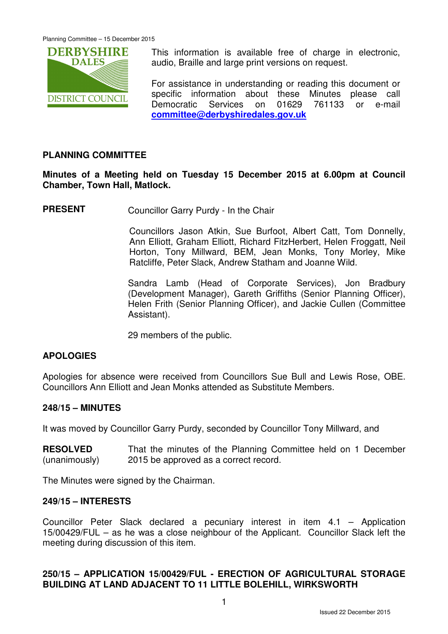

This information is available free of charge in electronic, audio, Braille and large print versions on request.

For assistance in understanding or reading this document or specific information about these Minutes please call Democratic Services on 01629 761133 or e-mail **committee@derbyshiredales.gov.uk**

# **PLANNING COMMITTEE**

**Minutes of a Meeting held on Tuesday 15 December 2015 at 6.00pm at Council Chamber, Town Hall, Matlock.** 

**PRESENT** Councillor Garry Purdy - In the Chair

 Councillors Jason Atkin, Sue Burfoot, Albert Catt, Tom Donnelly, Ann Elliott, Graham Elliott, Richard FitzHerbert, Helen Froggatt, Neil Horton, Tony Millward, BEM, Jean Monks, Tony Morley, Mike Ratcliffe, Peter Slack, Andrew Statham and Joanne Wild.

Sandra Lamb (Head of Corporate Services), Jon Bradbury (Development Manager), Gareth Griffiths (Senior Planning Officer), Helen Frith (Senior Planning Officer), and Jackie Cullen (Committee Assistant).

29 members of the public.

### **APOLOGIES**

Apologies for absence were received from Councillors Sue Bull and Lewis Rose, OBE. Councillors Ann Elliott and Jean Monks attended as Substitute Members.

### **248/15 – MINUTES**

It was moved by Councillor Garry Purdy, seconded by Councillor Tony Millward, and

**RESOLVED** (unanimously) That the minutes of the Planning Committee held on 1 December 2015 be approved as a correct record.

The Minutes were signed by the Chairman.

#### **249/15 – INTERESTS**

Councillor Peter Slack declared a pecuniary interest in item 4.1 – Application 15/00429/FUL – as he was a close neighbour of the Applicant. Councillor Slack left the meeting during discussion of this item.

# **250/15 – APPLICATION 15/00429/FUL - ERECTION OF AGRICULTURAL STORAGE BUILDING AT LAND ADJACENT TO 11 LITTLE BOLEHILL, WIRKSWORTH**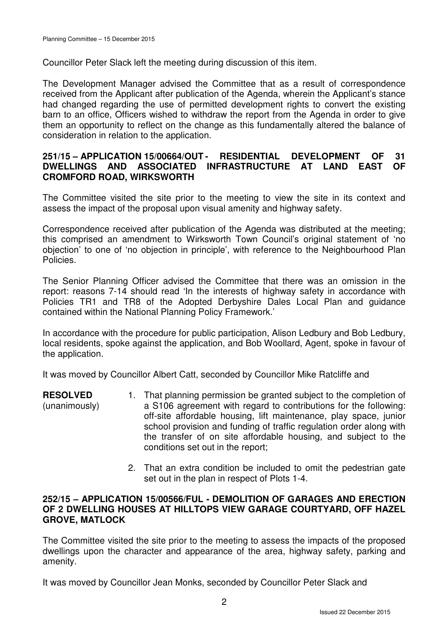Councillor Peter Slack left the meeting during discussion of this item.

The Development Manager advised the Committee that as a result of correspondence received from the Applicant after publication of the Agenda, wherein the Applicant's stance had changed regarding the use of permitted development rights to convert the existing barn to an office, Officers wished to withdraw the report from the Agenda in order to give them an opportunity to reflect on the change as this fundamentally altered the balance of consideration in relation to the application.

## **251/15 – APPLICATION 15/00664/OUT - RESIDENTIAL DEVELOPMENT OF 31 DWELLINGS AND ASSOCIATED INFRASTRUCTURE AT LAND EAST OF CROMFORD ROAD, WIRKSWORTH**

The Committee visited the site prior to the meeting to view the site in its context and assess the impact of the proposal upon visual amenity and highway safety.

Correspondence received after publication of the Agenda was distributed at the meeting; this comprised an amendment to Wirksworth Town Council's original statement of 'no objection' to one of 'no objection in principle', with reference to the Neighbourhood Plan Policies.

The Senior Planning Officer advised the Committee that there was an omission in the report: reasons 7-14 should read 'In the interests of highway safety in accordance with Policies TR1 and TR8 of the Adopted Derbyshire Dales Local Plan and guidance contained within the National Planning Policy Framework.'

In accordance with the procedure for public participation, Alison Ledbury and Bob Ledbury, local residents, spoke against the application, and Bob Woollard, Agent, spoke in favour of the application.

It was moved by Councillor Albert Catt, seconded by Councillor Mike Ratcliffe and

- **RESOLVED** (unanimously) 1. That planning permission be granted subject to the completion of a S106 agreement with regard to contributions for the following: off-site affordable housing, lift maintenance, play space, junior school provision and funding of traffic regulation order along with the transfer of on site affordable housing, and subject to the conditions set out in the report;
	- 2. That an extra condition be included to omit the pedestrian gate set out in the plan in respect of Plots 1-4.

### **252/15 – APPLICATION 15/00566/FUL - DEMOLITION OF GARAGES AND ERECTION OF 2 DWELLING HOUSES AT HILLTOPS VIEW GARAGE COURTYARD, OFF HAZEL GROVE, MATLOCK**

The Committee visited the site prior to the meeting to assess the impacts of the proposed dwellings upon the character and appearance of the area, highway safety, parking and amenity.

It was moved by Councillor Jean Monks, seconded by Councillor Peter Slack and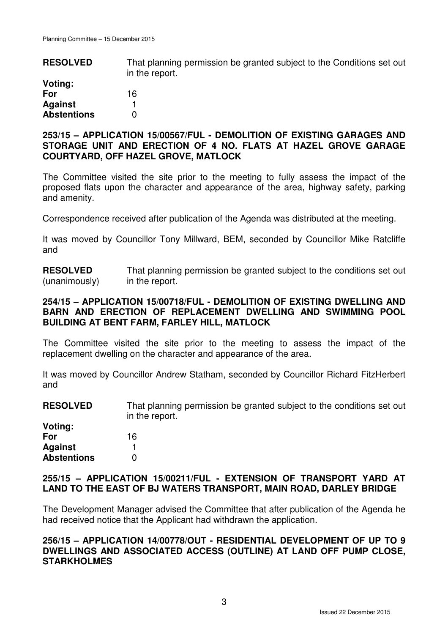| <b>RESOLVED</b>    | That planning permission be granted subject to the Conditions set out<br>in the report. |
|--------------------|-----------------------------------------------------------------------------------------|
| Voting:            |                                                                                         |
| For                | 16                                                                                      |
| <b>Against</b>     |                                                                                         |
| <b>Abstentions</b> |                                                                                         |

#### **253/15 – APPLICATION 15/00567/FUL - DEMOLITION OF EXISTING GARAGES AND STORAGE UNIT AND ERECTION OF 4 NO. FLATS AT HAZEL GROVE GARAGE COURTYARD, OFF HAZEL GROVE, MATLOCK**

The Committee visited the site prior to the meeting to fully assess the impact of the proposed flats upon the character and appearance of the area, highway safety, parking and amenity.

Correspondence received after publication of the Agenda was distributed at the meeting.

It was moved by Councillor Tony Millward, BEM, seconded by Councillor Mike Ratcliffe and

**RESOLVED** (unanimously) That planning permission be granted subject to the conditions set out in the report.

### **254/15 – APPLICATION 15/00718/FUL - DEMOLITION OF EXISTING DWELLING AND BARN AND ERECTION OF REPLACEMENT DWELLING AND SWIMMING POOL BUILDING AT BENT FARM, FARLEY HILL, MATLOCK**

The Committee visited the site prior to the meeting to assess the impact of the replacement dwelling on the character and appearance of the area.

It was moved by Councillor Andrew Statham, seconded by Councillor Richard FitzHerbert and

**RESOLVED** That planning permission be granted subject to the conditions set out in the report.

| Voting:            |    |
|--------------------|----|
| For                | 16 |
| <b>Against</b>     |    |
| <b>Abstentions</b> | O  |

### **255/15 – APPLICATION 15/00211/FUL - EXTENSION OF TRANSPORT YARD AT LAND TO THE EAST OF BJ WATERS TRANSPORT, MAIN ROAD, DARLEY BRIDGE**

The Development Manager advised the Committee that after publication of the Agenda he had received notice that the Applicant had withdrawn the application.

### **256/15 – APPLICATION 14/00778/OUT - RESIDENTIAL DEVELOPMENT OF UP TO 9 DWELLINGS AND ASSOCIATED ACCESS (OUTLINE) AT LAND OFF PUMP CLOSE, STARKHOLMES**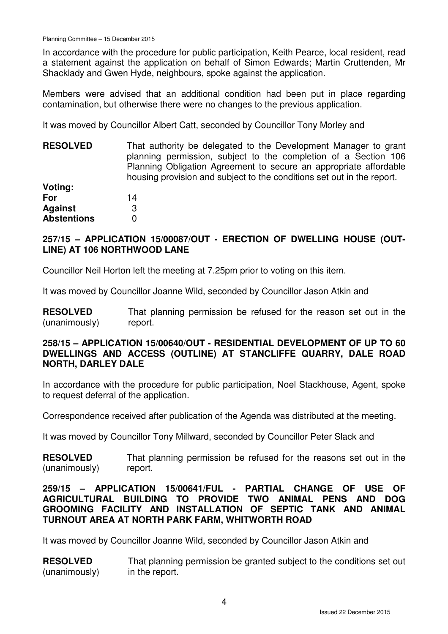In accordance with the procedure for public participation, Keith Pearce, local resident, read a statement against the application on behalf of Simon Edwards; Martin Cruttenden, Mr Shacklady and Gwen Hyde, neighbours, spoke against the application.

Members were advised that an additional condition had been put in place regarding contamination, but otherwise there were no changes to the previous application.

It was moved by Councillor Albert Catt, seconded by Councillor Tony Morley and

| <b>RESOLVED</b>    | That authority be delegated to the Development Manager to grant        |
|--------------------|------------------------------------------------------------------------|
|                    | planning permission, subject to the completion of a Section 106        |
|                    | Planning Obligation Agreement to secure an appropriate affordable      |
|                    | housing provision and subject to the conditions set out in the report. |
| Voting:            |                                                                        |
| For                | 14                                                                     |
| <b>Against</b>     | 3                                                                      |
| <b>Abstentions</b> |                                                                        |

## **257/15 – APPLICATION 15/00087/OUT - ERECTION OF DWELLING HOUSE (OUT-LINE) AT 106 NORTHWOOD LANE**

Councillor Neil Horton left the meeting at 7.25pm prior to voting on this item.

It was moved by Councillor Joanne Wild, seconded by Councillor Jason Atkin and

**RESOLVED** (unanimously) That planning permission be refused for the reason set out in the report.

### **258/15 – APPLICATION 15/00640/OUT - RESIDENTIAL DEVELOPMENT OF UP TO 60 DWELLINGS AND ACCESS (OUTLINE) AT STANCLIFFE QUARRY, DALE ROAD NORTH, DARLEY DALE**

In accordance with the procedure for public participation, Noel Stackhouse, Agent, spoke to request deferral of the application.

Correspondence received after publication of the Agenda was distributed at the meeting.

It was moved by Councillor Tony Millward, seconded by Councillor Peter Slack and

**RESOLVED** (unanimously) That planning permission be refused for the reasons set out in the report.

### **259/15 – APPLICATION 15/00641/FUL - PARTIAL CHANGE OF USE OF AGRICULTURAL BUILDING TO PROVIDE TWO ANIMAL PENS AND DOG GROOMING FACILITY AND INSTALLATION OF SEPTIC TANK AND ANIMAL TURNOUT AREA AT NORTH PARK FARM, WHITWORTH ROAD**

It was moved by Councillor Joanne Wild, seconded by Councillor Jason Atkin and

**RESOLVED** (unanimously) That planning permission be granted subject to the conditions set out in the report.